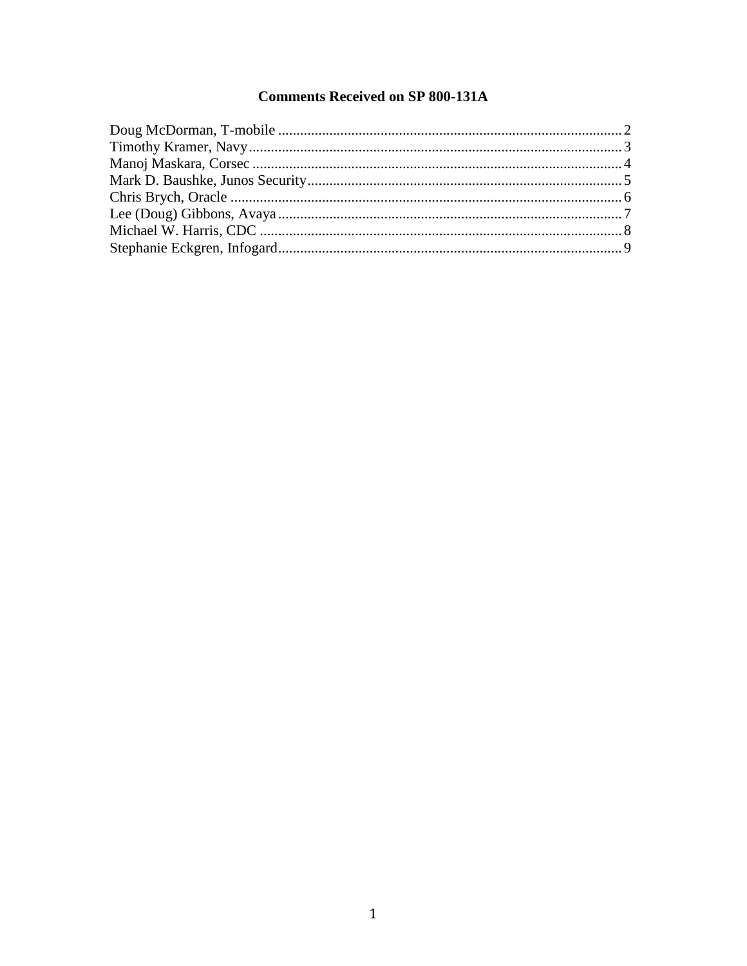# **Comments Received on SP 800-131A**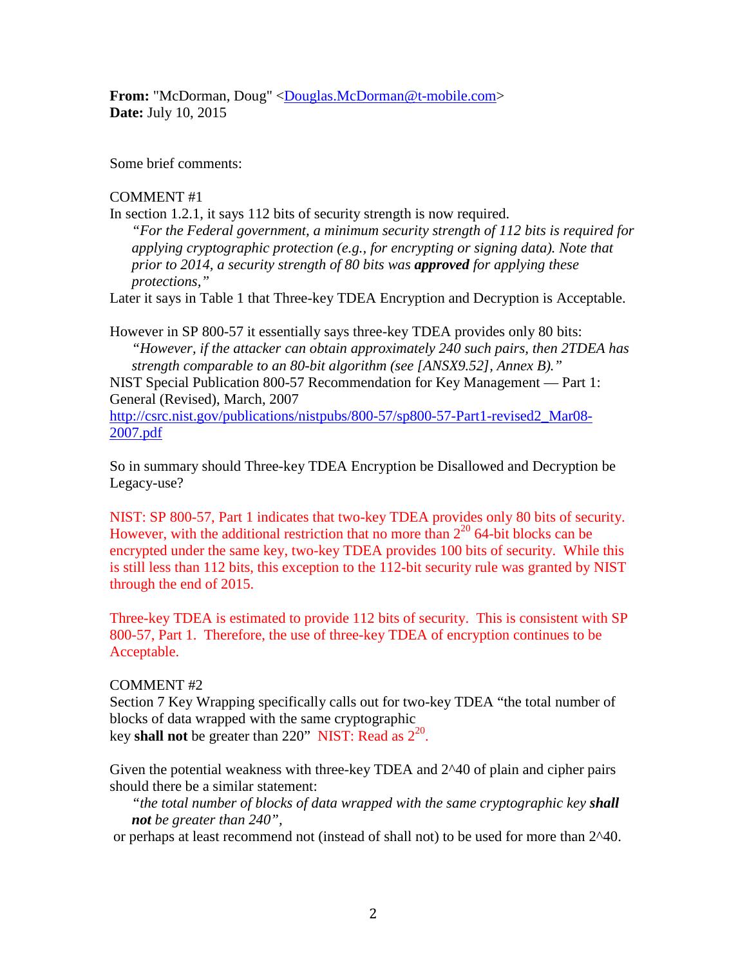**From:** "McDorman, Doug" [<Douglas.McDorman@t-mobile.com>](mailto:Douglas.McDorman@t-mobile.com) **Date:** July 10, 2015

Some brief comments:

### COMMENT #1

In section 1.2.1, it says 112 bits of security strength is now required.

*"For the Federal government, a minimum security strength of 112 bits is required for applying cryptographic protection (e.g., for encrypting or signing data). Note that prior to 2014, a security strength of 80 bits was approved for applying these protections,"*

Later it says in Table 1 that Three-key TDEA Encryption and Decryption is Acceptable.

However in SP 800-57 it essentially says three-key TDEA provides only 80 bits: *"However, if the attacker can obtain approximately 240 such pairs, then 2TDEA has strength comparable to an 80-bit algorithm (see [ANSX9.52], Annex B)."*

NIST Special Publication 800-57 Recommendation for Key Management — Part 1: General (Revised), March, 2007

[http://csrc.nist.gov/publications/nistpubs/800-57/sp800-57-Part1-revised2\\_Mar08-](http://csrc.nist.gov/publications/nistpubs/800-57/sp800-57-Part1-revised2_Mar08-2007.pdf) [2007.pdf](http://csrc.nist.gov/publications/nistpubs/800-57/sp800-57-Part1-revised2_Mar08-2007.pdf)

So in summary should Three-key TDEA Encryption be Disallowed and Decryption be Legacy-use?

NIST: SP 800-57, Part 1 indicates that two-key TDEA provides only 80 bits of security. However, with the additional restriction that no more than  $2^{20}$  64-bit blocks can be encrypted under the same key, two-key TDEA provides 100 bits of security. While this is still less than 112 bits, this exception to the 112-bit security rule was granted by NIST through the end of 2015.

Three-key TDEA is estimated to provide 112 bits of security. This is consistent with SP 800-57, Part 1. Therefore, the use of three-key TDEA of encryption continues to be Acceptable.

### COMMENT #2

Section 7 Key Wrapping specifically calls out for two-key TDEA "the total number of blocks of data wrapped with the same cryptographic key **shall not** be greater than 220" NIST: Read as  $2^{20}$ .

Given the potential weakness with three-key TDEA and 2^40 of plain and cipher pairs should there be a similar statement:

*"the total number of blocks of data wrapped with the same cryptographic key shall not be greater than 240",*

or perhaps at least recommend not (instead of shall not) to be used for more than 2^40.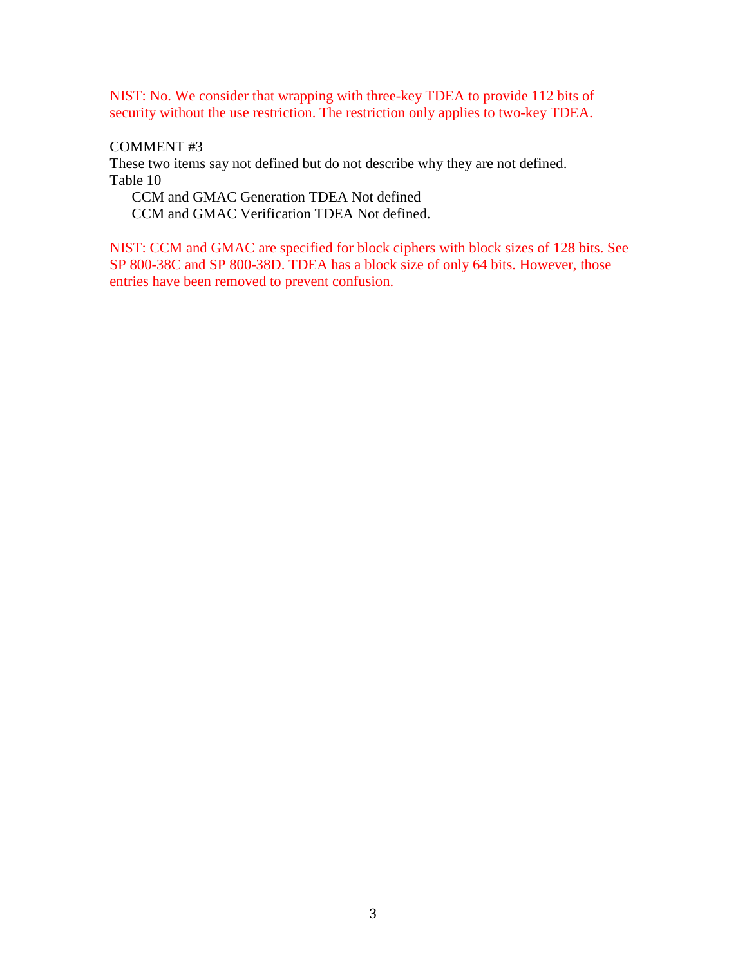NIST: No. We consider that wrapping with three-key TDEA to provide 112 bits of security without the use restriction. The restriction only applies to two-key TDEA.

### COMMENT #3

These two items say not defined but do not describe why they are not defined. Table 10

CCM and GMAC Generation TDEA Not defined CCM and GMAC Verification TDEA Not defined.

NIST: CCM and GMAC are specified for block ciphers with block sizes of 128 bits. See SP 800-38C and SP 800-38D. TDEA has a block size of only 64 bits. However, those entries have been removed to prevent confusion.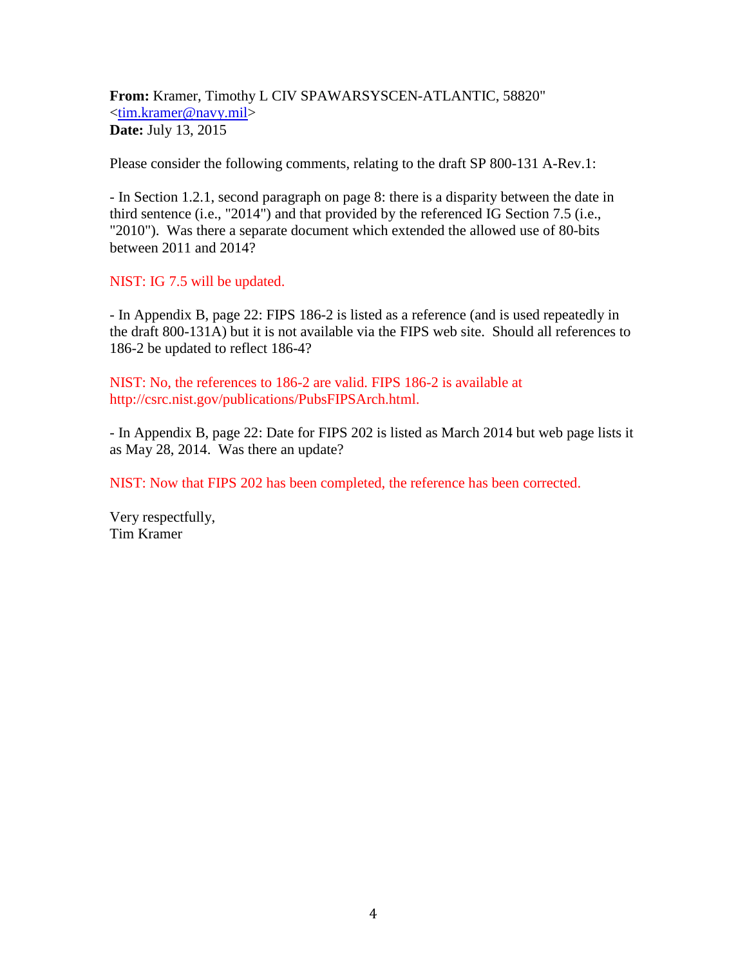**From:** Kramer, Timothy L CIV SPAWARSYSCEN-ATLANTIC, 58820" [<tim.kramer@navy.mil>](mailto:tim.kramer@navy.mil) **Date:** July 13, 2015

Please consider the following comments, relating to the draft SP 800-131 A-Rev.1:

- In Section 1.2.1, second paragraph on page 8: there is a disparity between the date in third sentence (i.e., "2014") and that provided by the referenced IG Section 7.5 (i.e., "2010"). Was there a separate document which extended the allowed use of 80-bits between 2011 and 2014?

NIST: IG 7.5 will be updated.

- In Appendix B, page 22: FIPS 186-2 is listed as a reference (and is used repeatedly in the draft 800-131A) but it is not available via the FIPS web site. Should all references to 186-2 be updated to reflect 186-4?

NIST: No, the references to 186-2 are valid. FIPS 186-2 is available at http://csrc.nist.gov/publications/PubsFIPSArch.html.

- In Appendix B, page 22: Date for FIPS 202 is listed as March 2014 but web page lists it as May 28, 2014. Was there an update?

NIST: Now that FIPS 202 has been completed, the reference has been corrected.

Very respectfully, Tim Kramer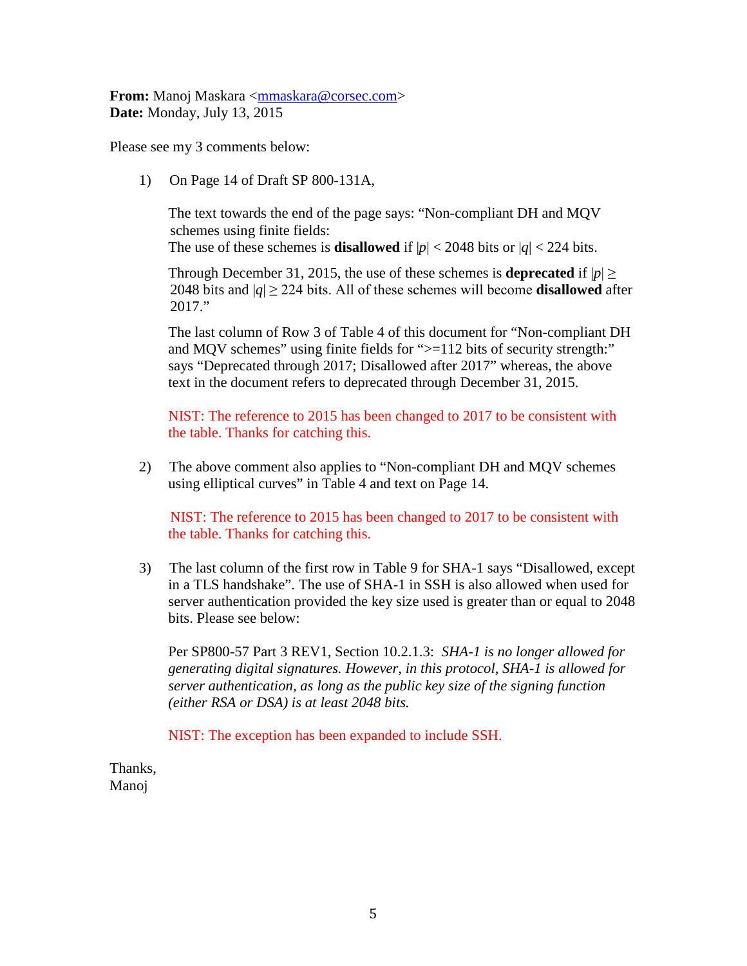**From:** Manoj Maskara [<mmaskara@corsec.com>](mailto:mmaskara@corsec.com) **Date:** Monday, July 13, 2015

Please see my 3 comments below:

1) On Page 14 of Draft SP 800-131A,

The text towards the end of the page says: "Non-compliant DH and MQV schemes using finite fields: The use of these schemes is **disallowed** if  $|p| < 2048$  bits or  $|q| < 224$  bits.

Through December 31, 2015, the use of these schemes is **deprecated** if  $|p| \ge$ 2048 bits and  $|q| \ge 224$  bits. All of these schemes will become **disallowed** after 2017."

The last column of Row 3 of Table 4 of this document for "Non-compliant DH and MQV schemes" using finite fields for " $>=$ 112 bits of security strength:" says "Deprecated through 2017; Disallowed after 2017" whereas, the above text in the document refers to deprecated through December 31, 2015.

NIST: The reference to 2015 has been changed to 2017 to be consistent with the table. Thanks for catching this.

2) The above comment also applies to "Non-compliant DH and MQV schemes using elliptical curves" in Table 4 and text on Page 14.

NIST: The reference to 2015 has been changed to 2017 to be consistent with the table. Thanks for catching this.

3) The last column of the first row in Table 9 for SHA-1 says "Disallowed, except in a TLS handshake". The use of SHA-1 in SSH is also allowed when used for server authentication provided the key size used is greater than or equal to 2048 bits. Please see below:

Per SP800-57 Part 3 REV1, Section 10.2.1.3: *SHA-1 is no longer allowed for generating digital signatures. However, in this protocol, SHA-1 is allowed for server authentication, as long as the public key size of the signing function (either RSA or DSA) is at least 2048 bits.*

NIST: The exception has been expanded to include SSH.

Thanks, Manoj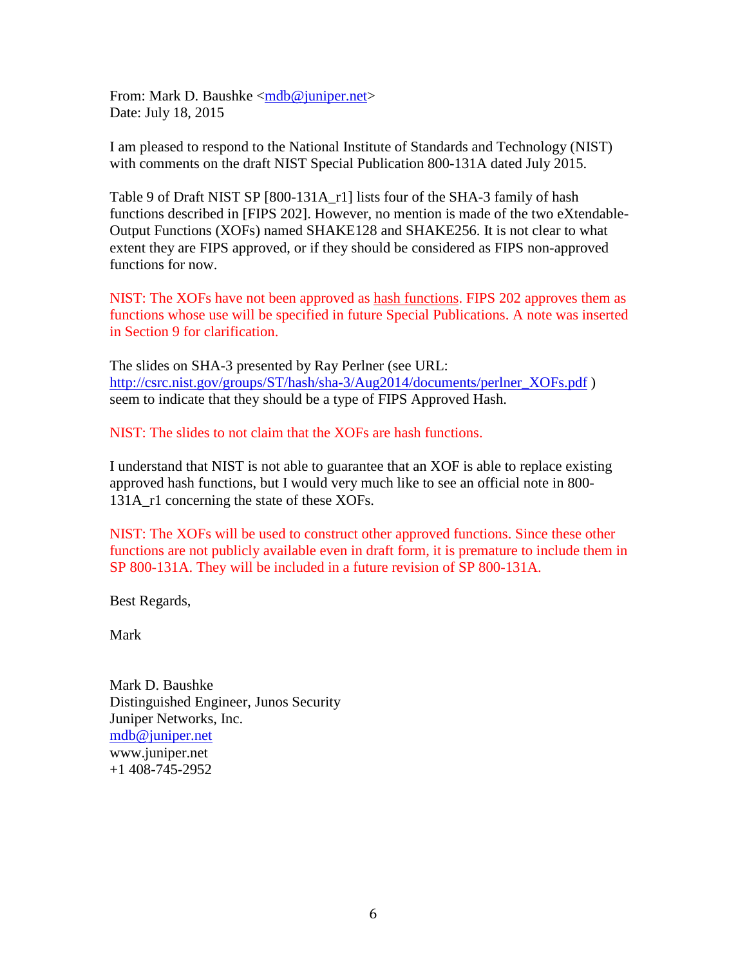From: Mark D. Baushke [<mdb@juniper.net>](mailto:mdb@juniper.net) Date: July 18, 2015

I am pleased to respond to the National Institute of Standards and Technology (NIST) with comments on the draft NIST Special Publication 800-131A dated July 2015.

Table 9 of Draft NIST SP [800-131A\_r1] lists four of the SHA-3 family of hash functions described in [FIPS 202]. However, no mention is made of the two eXtendable-Output Functions (XOFs) named SHAKE128 and SHAKE256. It is not clear to what extent they are FIPS approved, or if they should be considered as FIPS non-approved functions for now.

NIST: The XOFs have not been approved as hash functions. FIPS 202 approves them as functions whose use will be specified in future Special Publications. A note was inserted in Section 9 for clarification.

The slides on SHA-3 presented by Ray Perlner (see URL: [http://csrc.nist.gov/groups/ST/hash/sha-3/Aug2014/documents/perlner\\_XOFs.pdf](http://csrc.nist.gov/groups/ST/hash/sha-3/Aug2014/documents/perlner_XOFs.pdf) ) seem to indicate that they should be a type of FIPS Approved Hash.

NIST: The slides to not claim that the XOFs are hash functions.

I understand that NIST is not able to guarantee that an XOF is able to replace existing approved hash functions, but I would very much like to see an official note in 800- 131A r1 concerning the state of these XOFs.

NIST: The XOFs will be used to construct other approved functions. Since these other functions are not publicly available even in draft form, it is premature to include them in SP 800-131A. They will be included in a future revision of SP 800-131A.

Best Regards,

Mark

Mark D. Baushke Distinguished Engineer, Junos Security Juniper Networks, Inc. [mdb@juniper.net](mailto:mdb@juniper.net) www.juniper.net +1 408-745-2952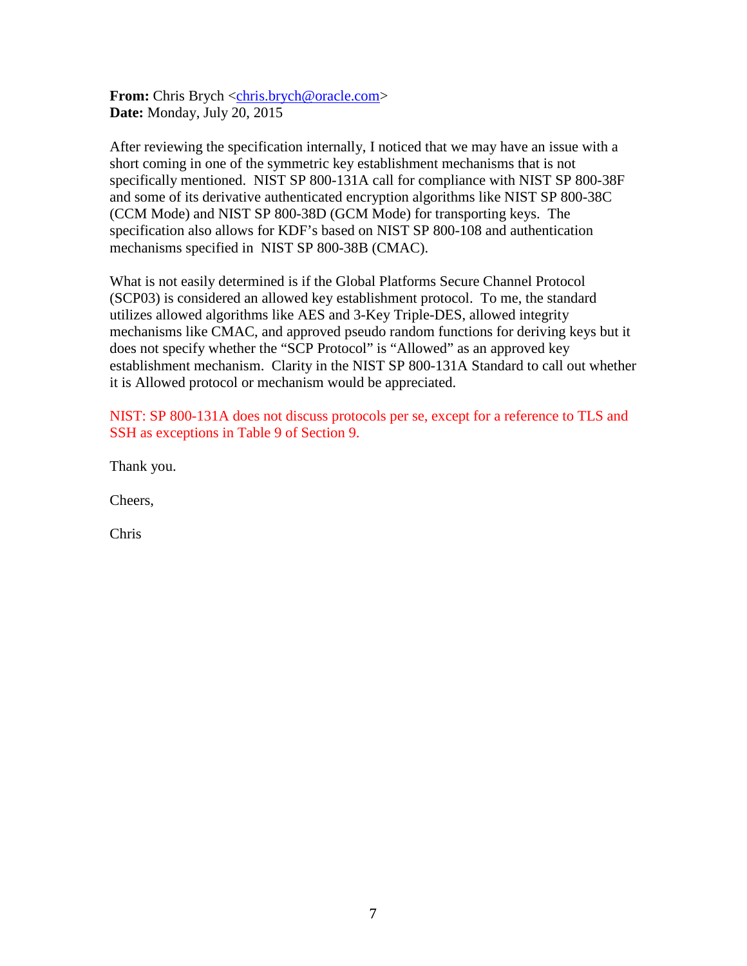**From:** Chris Brych [<chris.brych@oracle.com>](mailto:chris.brych@oracle.com) **Date:** Monday, July 20, 2015

After reviewing the specification internally, I noticed that we may have an issue with a short coming in one of the symmetric key establishment mechanisms that is not specifically mentioned. NIST SP 800-131A call for compliance with NIST SP 800-38F and some of its derivative authenticated encryption algorithms like NIST SP 800-38C (CCM Mode) and NIST SP 800-38D (GCM Mode) for transporting keys. The specification also allows for KDF's based on NIST SP 800-108 and authentication mechanisms specified in NIST SP 800-38B (CMAC).

What is not easily determined is if the Global Platforms Secure Channel Protocol (SCP03) is considered an allowed key establishment protocol. To me, the standard utilizes allowed algorithms like AES and 3-Key Triple-DES, allowed integrity mechanisms like CMAC, and approved pseudo random functions for deriving keys but it does not specify whether the "SCP Protocol" is "Allowed" as an approved key establishment mechanism. Clarity in the NIST SP 800-131A Standard to call out whether it is Allowed protocol or mechanism would be appreciated.

NIST: SP 800-131A does not discuss protocols per se, except for a reference to TLS and SSH as exceptions in Table 9 of Section 9.

Thank you.

Cheers,

Chris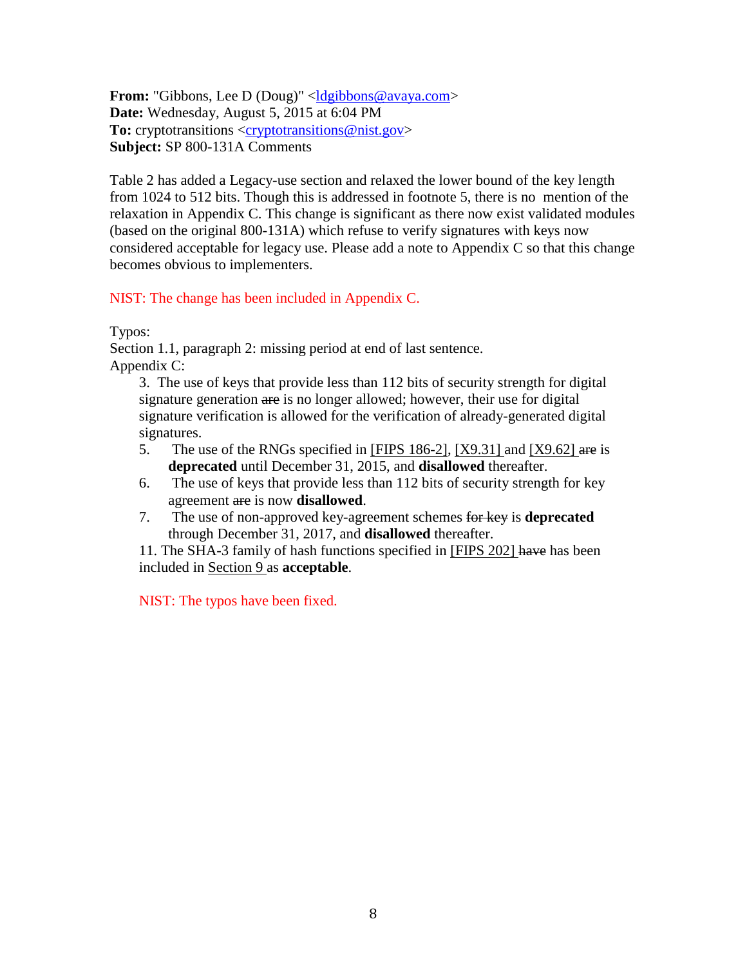**From:** "Gibbons, Lee D (Doug)" <*desibons@avaya.com>* **Date:** Wednesday, August 5, 2015 at 6:04 PM To: cryptotransitions [<cryptotransitions@nist.gov>](mailto:cryptotransitions@nist.gov) **Subject:** SP 800-131A Comments

Table 2 has added a Legacy-use section and relaxed the lower bound of the key length from 1024 to 512 bits. Though this is addressed in footnote 5, there is no mention of the relaxation in Appendix C. This change is significant as there now exist validated modules (based on the original 800-131A) which refuse to verify signatures with keys now considered acceptable for legacy use. Please add a note to Appendix C so that this change becomes obvious to implementers.

NIST: The change has been included in Appendix C.

Typos:

Section 1.1, paragraph 2: missing period at end of last sentence. Appendix C:

3. The use of keys that provide less than 112 bits of security strength for digital signature generation are is no longer allowed; however, their use for digital signature verification is allowed for the verification of already-generated digital signatures.

- 5. The use of the RNGs specified in [FIPS 186-2], [X9.31] and [X9.62] are is **deprecated** until December 31, 2015, and **disallowed** thereafter.
- 6. The use of keys that provide less than 112 bits of security strength for key agreement are is now **disallowed**.
- 7. The use of non-approved key-agreement schemes for key is **deprecated**  through December 31, 2017, and **disallowed** thereafter.

11. The SHA-3 family of hash functions specified in [FIPS 202] have has been included in Section 9 as **acceptable**.

NIST: The typos have been fixed.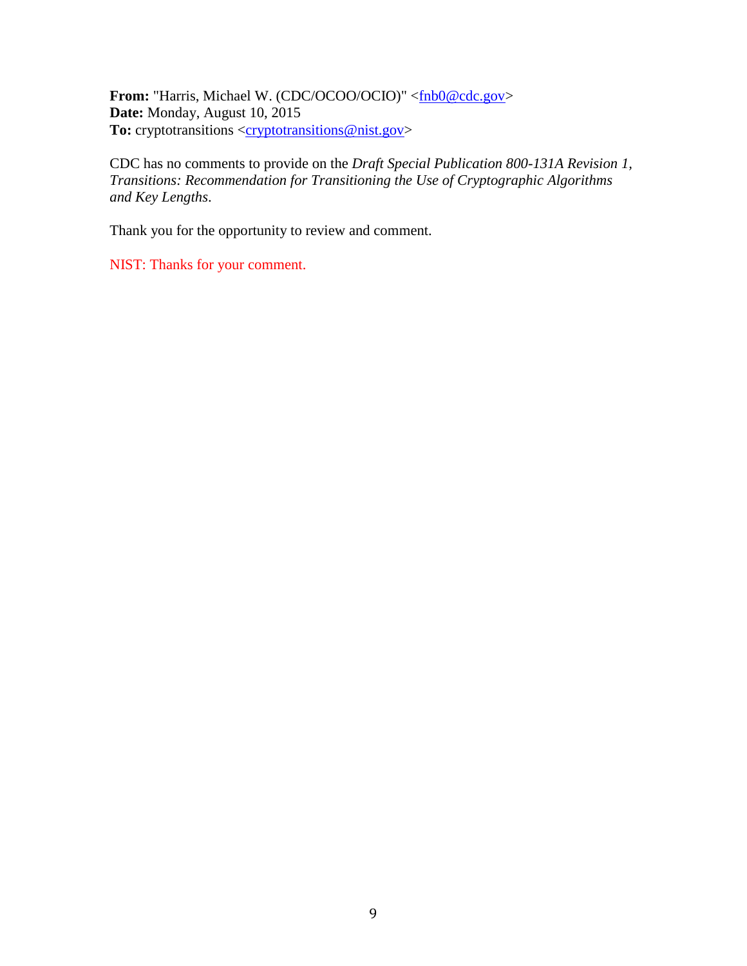**From:** "Harris, Michael W. (CDC/OCOO/OCIO)" [<fnb0@cdc.gov>](mailto:fnb0@cdc.gov) **Date:** Monday, August 10, 2015 To: cryptotransitions [<cryptotransitions@nist.gov>](mailto:cryptotransitions@nist.gov)

CDC has no comments to provide on the *Draft Special Publication 800-131A Revision 1, Transitions: Recommendation for Transitioning the Use of Cryptographic Algorithms and Key Lengths*.

Thank you for the opportunity to review and comment.

NIST: Thanks for your comment.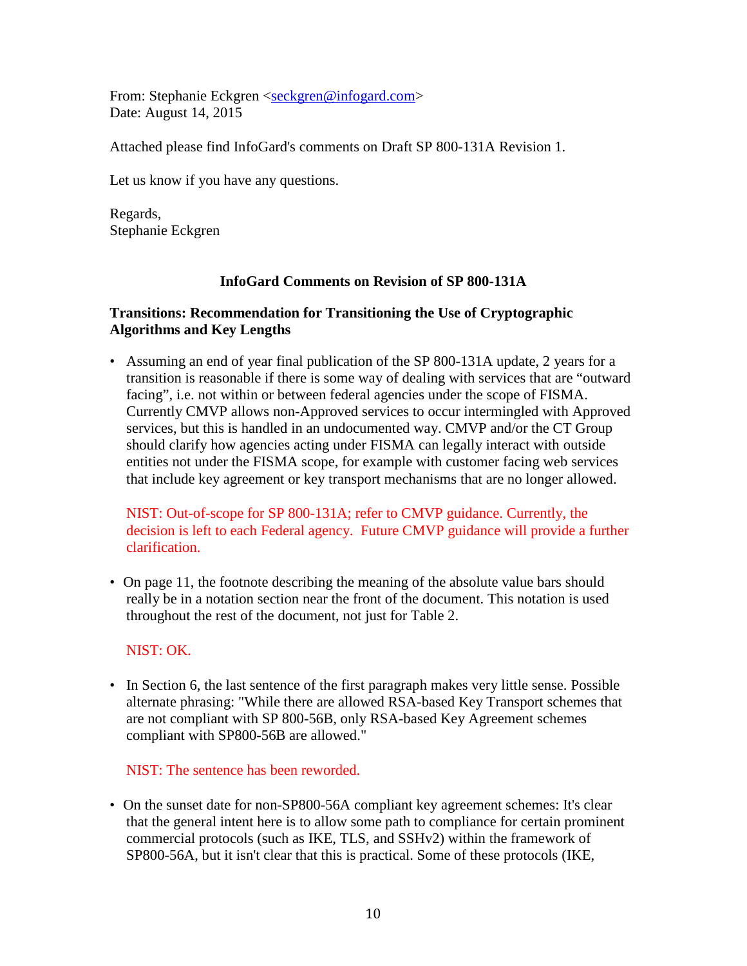From: Stephanie Eckgren [<seckgren@infogard.com>](mailto:seckgren@infogard.com) Date: August 14, 2015

Attached please find InfoGard's comments on Draft SP 800-131A Revision 1.

Let us know if you have any questions.

Regards, Stephanie Eckgren

# **InfoGard Comments on Revision of SP 800-131A**

# **Transitions: Recommendation for Transitioning the Use of Cryptographic Algorithms and Key Lengths**

• Assuming an end of year final publication of the SP 800-131A update, 2 years for a transition is reasonable if there is some way of dealing with services that are "outward facing", i.e. not within or between federal agencies under the scope of FISMA. Currently CMVP allows non-Approved services to occur intermingled with Approved services, but this is handled in an undocumented way. CMVP and/or the CT Group should clarify how agencies acting under FISMA can legally interact with outside entities not under the FISMA scope, for example with customer facing web services that include key agreement or key transport mechanisms that are no longer allowed.

NIST: Out-of-scope for SP 800-131A; refer to CMVP guidance. Currently, the decision is left to each Federal agency. Future CMVP guidance will provide a further clarification.

• On page 11, the footnote describing the meaning of the absolute value bars should really be in a notation section near the front of the document. This notation is used throughout the rest of the document, not just for Table 2.

# NIST: OK.

• In Section 6, the last sentence of the first paragraph makes very little sense. Possible alternate phrasing: "While there are allowed RSA-based Key Transport schemes that are not compliant with SP 800-56B, only RSA-based Key Agreement schemes compliant with SP800-56B are allowed."

# NIST: The sentence has been reworded.

• On the sunset date for non-SP800-56A compliant key agreement schemes: It's clear that the general intent here is to allow some path to compliance for certain prominent commercial protocols (such as IKE, TLS, and SSHv2) within the framework of SP800-56A, but it isn't clear that this is practical. Some of these protocols (IKE,